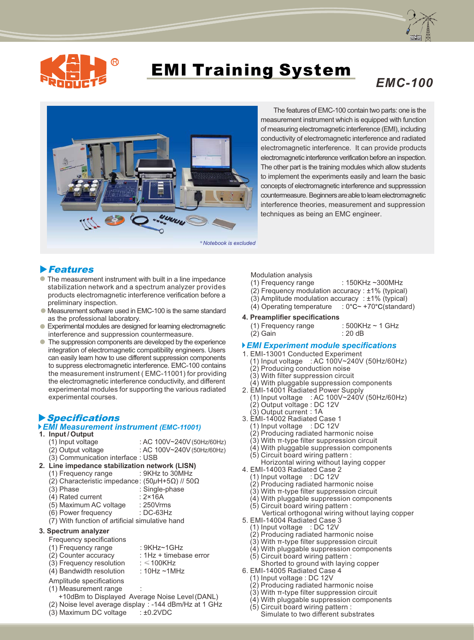



# **EMI Training System**<br>
FMC-100



 The features of EMC-100 contain two parts: one is the measurement instrument which is equipped with function of measuring electromagnetic interference (EMI), including conductivity of electromagnetic interference and radiated electromagnetic interference. It can provide products electromagnetic interference verification before an inspection. The other part is the training modules which allow students to implement the experiments easily and learn the basic concepts of electromagnetic interference and suppresssion countermeasure. Beginners are able to learn electromagnetic interference theories, measurement and suppression techniques as being an EMC engineer.

### **Features**

- The measurement instrument with built in a line impedance stabilization network and a spectrum analyzer provides products electromagnetic interference verification before a preliminary inspection.
- Measurement software used in EMC-100 is the same standard as the professional laboratory.
- Experimental modules are designed for learning electromagnetic interference and suppression countermeasure.
- The suppression components are developed by the experience integration of electromagnetic compatibility engineers. Users can easily learn how to use different suppression components to suppress electromagnetic interference. EMC-100 contains the measurement instrument ( EMC-11001) for providing the electromagnetic interference conductivity, and different experimental modules for supporting the various radiated experimental courses. ●

# Specifications

# *EMI Measurement instrument (EMC-11001)*

# **1. Input / Output**

- 
- (1) Input voltage : AC 100V~240V(50Hz/60Hz)<br>(2) Output voltage : AC 100V~240V(50Hz/60Hz)  $:$  AC 100V~240V (50Hz/60Hz)
- (3) Communication interface : USB
- **2. Line impedance stabilization network (LISN)**
	- $(1)$  Frequency range
	- (2) Characteristic impedance: (50*µ*H+5Ω) // 50Ω
	-
	- : Single-phase<br>: 2×16A  $(4)$  Rated current
	- (5) Maximum AC voltage : 250Vrms
	- $(6)$  Power frequency
	- (7) With function of artificial simulative hand

#### **3. Spectrum analyzer**

- Frequency specifications
	-
- (1) Frequency range : 9KHz~1GHz<br>(2) Counter accuracy : 1Hz + timeba :  $1Hz +$  timebase error<br>:  $\leq 100KHz$
- $(3)$  Frequency resolution
- (4) Bandwidth resolution : 10Hz ~1MHz
- Amplitude specifications
- (1) Measurement range :
- +10dBm to Displayed Average Noise Level(DANL)
- (2) Noise level average display : -144 dBm/Hz at 1 GHz (3) Maximum DC voltage  $\therefore$  ±0.2VDC
- $(3)$  Maximum DC voltage

Modulation analysis

- $(1)$  Frequency range : 150KHz ~300MHz
- (2) Frequency modulation accuracy : ±1% (typical)
- (3) Amplitude modulation accuracy : ±1% (typical)<br>(4) Operating temperature : 0°C~ +70°C(standard)
- (4) Operating temperature

#### **4. Preamplifier specifications**

(1) Frequency range  $: 500$ KHz ~ 1 GHz<br>(2) Gain  $(2)$  Gain

#### *EMI Experiment module specifications*

- 1. EMI-13001 Conducted Experiment
	- (1) Input voltage : AC 100V~240V (50Hz/60Hz) (2) Producing conduction noise
	- (3) With filter suppression circuit
- (4) With pluggable suppression components
- 2. EMI-14001 Radiated Power Supply
- (1) Input voltage : AC 100V~240V (50Hz/60Hz)
- (2) Output voltage : DC 12V
- (3) Output current : 1A
- 3. EMI-14002 Radiated Case 1
	- (1) Input voltage : DC 12V
	- (2) Producing radiated harmonic noise
	- (3) With π-type filter suppression circuit
	- (4) With pluggable suppression components
	- (5) Circuit board wiring pattern :
- Horizontal wiring without laying copper 4. EMI-14003 Radiated Case 2
- - (1) Input voltage : DC 12V (2) Producing radiated harmonic noise
	- (3) With π-type filter suppression circuit
	- (4) With pluggable suppression components
- (5) Circuit board wiring pattern :
- Vertical orthogonal wiring without laying copper
- 5. EMI-14004 Radiated Case 3
	- (1) Input voltage : DC 12V
	- (2) Producing radiated harmonic noise
	- (3) With π-type filter suppression circuit (4) With pluggable suppression components
	- (5) Circuit board wiring pattern :
	- Shorted to ground with laying copper
- 6. EMI-14005 Radiated Case 4
	- (1) Input voltage : DC 12V
	- (2) Producing radiated harmonic noise
	- (3) With π-type filter suppression circuit
	- (4) With pluggable suppression components
	- (5) Circuit board wiring pattern : Simulate to two different substrates